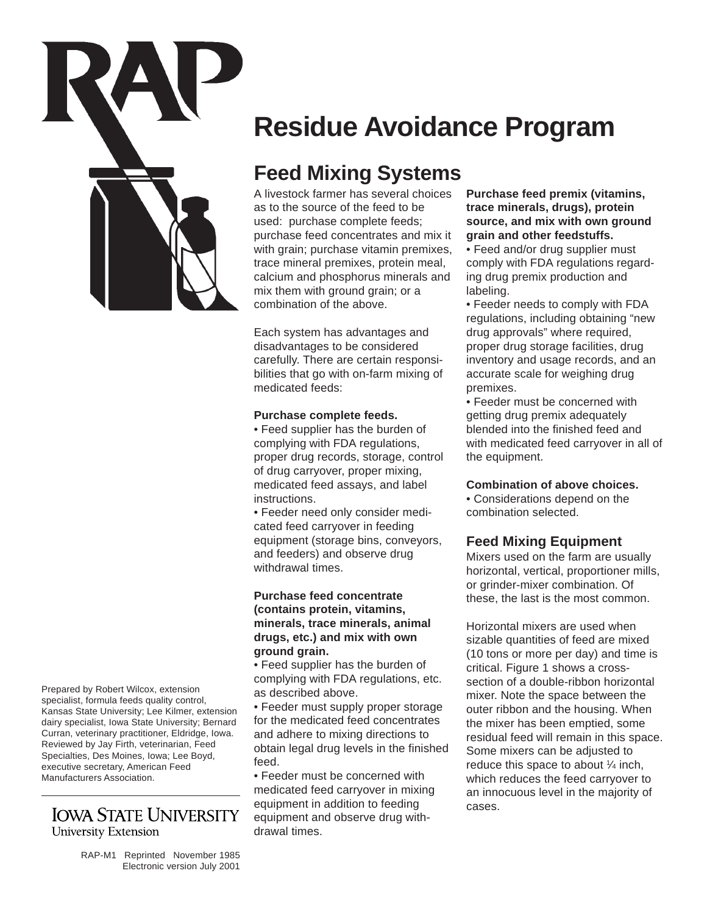

**Residue Avoidance Program** 

# **Feed Mixing Systems**

A livestock farmer has several choices as to the source of the feed to be used: purchase complete feeds; purchase feed concentrates and mix it with grain; purchase vitamin premixes, trace mineral premixes, protein meal, calcium and phosphorus minerals and mix them with ground grain; or a combination of the above.

Each system has advantages and disadvantages to be considered carefully. There are certain responsibilities that go with on-farm mixing of medicated feeds:

#### **Purchase complete feeds.**

• Feed supplier has the burden of complying with FDA regulations, proper drug records, storage, control of drug carryover, proper mixing, medicated feed assays, and label instructions.

• Feeder need only consider medicated feed carryover in feeding equipment (storage bins, conveyors, and feeders) and observe drug withdrawal times.

#### **Purchase feed concentrate (contains protein, vitamins, minerals, trace minerals, animal drugs, etc.) and mix with own ground grain.**

• Feed supplier has the burden of complying with FDA regulations, etc. as described above.

• Feeder must supply proper storage for the medicated feed concentrates and adhere to mixing directions to obtain legal drug levels in the finished feed.

• Feeder must be concerned with medicated feed carryover in mixing equipment in addition to feeding equipment and observe drug withdrawal times.

### **Purchase feed premix (vitamins, trace minerals, drugs), protein source, and mix with own ground grain and other feedstuffs.**

• Feed and/or drug supplier must comply with FDA regulations regarding drug premix production and labeling.

• Feeder needs to comply with FDA regulations, including obtaining "new drug approvals" where required, proper drug storage facilities, drug inventory and usage records, and an accurate scale for weighing drug premixes.

• Feeder must be concerned with getting drug premix adequately blended into the finished feed and with medicated feed carryover in all of the equipment.

### **Combination of above choices.**

• Considerations depend on the combination selected.

# **Feed Mixing Equipment**

Mixers used on the farm are usually horizontal, vertical, proportioner mills, or grinder-mixer combination. Of these, the last is the most common.

Horizontal mixers are used when sizable quantities of feed are mixed (10 tons or more per day) and time is critical. Figure 1 shows a crosssection of a double-ribbon horizontal mixer. Note the space between the outer ribbon and the housing. When the mixer has been emptied, some residual feed will remain in this space. Some mixers can be adjusted to reduce this space to about  $\frac{1}{4}$  inch, which reduces the feed carryover to an innocuous level in the majority of cases.

Prepared by Robert Wilcox, extension specialist, formula feeds quality control, Kansas State University; Lee Kilmer, extension dairy specialist, Iowa State University; Bernard Curran, veterinary practitioner, Eldridge, Iowa. Reviewed by Jay Firth, veterinarian, Feed Specialties, Des Moines, Iowa; Lee Boyd, executive secretary, American Feed Manufacturers Association.

# **IOWA STATE UNIVERSITY University Extension**

RAP-M1 Reprinted November 1985 Electronic version July 2001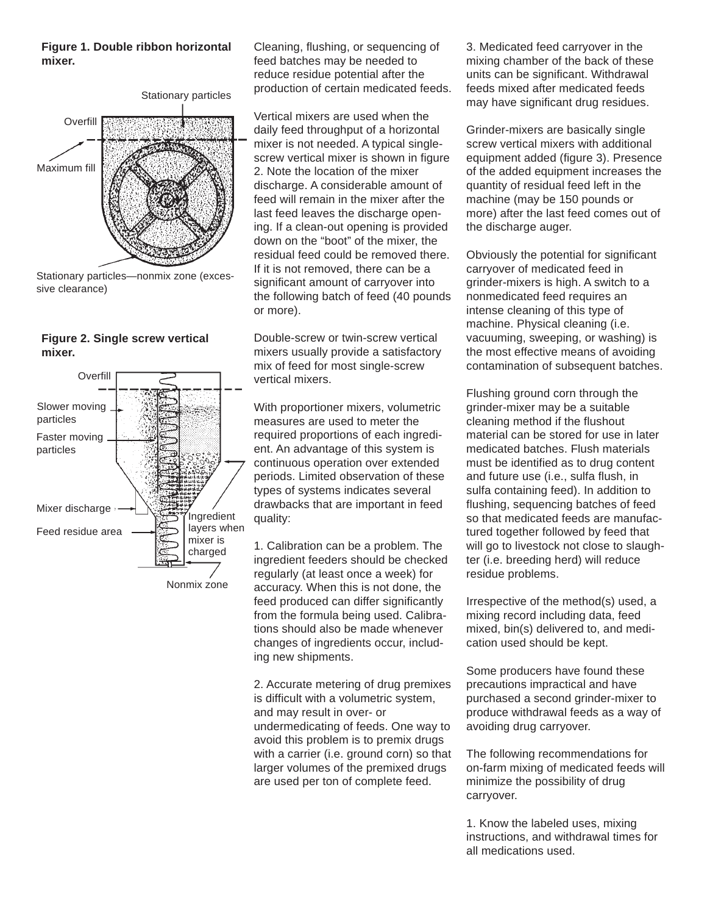#### **Figure 1. Double ribbon horizontal mixer.**



Stationary particles—nonmix zone (excessive clearance)





Cleaning, flushing, or sequencing of feed batches may be needed to reduce residue potential after the production of certain medicated feeds.

Vertical mixers are used when the daily feed throughput of a horizontal mixer is not needed. A typical singlescrew vertical mixer is shown in figure 2. Note the location of the mixer discharge. A considerable amount of feed will remain in the mixer after the last feed leaves the discharge opening. If a clean-out opening is provided down on the "boot" of the mixer, the residual feed could be removed there. If it is not removed, there can be a significant amount of carryover into the following batch of feed (40 pounds or more).

Double-screw or twin-screw vertical mixers usually provide a satisfactory mix of feed for most single-screw vertical mixers.

With proportioner mixers, volumetric measures are used to meter the required proportions of each ingredient. An advantage of this system is continuous operation over extended periods. Limited observation of these types of systems indicates several drawbacks that are important in feed quality:

1. Calibration can be a problem. The ingredient feeders should be checked regularly (at least once a week) for accuracy. When this is not done, the feed produced can differ significantly from the formula being used. Calibrations should also be made whenever changes of ingredients occur, including new shipments.

2. Accurate metering of drug premixes is difficult with a volumetric system, and may result in over- or undermedicating of feeds. One way to avoid this problem is to premix drugs with a carrier (i.e. ground corn) so that larger volumes of the premixed drugs are used per ton of complete feed.

3. Medicated feed carryover in the mixing chamber of the back of these units can be significant. Withdrawal feeds mixed after medicated feeds may have significant drug residues.

Grinder-mixers are basically single screw vertical mixers with additional equipment added (figure 3). Presence of the added equipment increases the quantity of residual feed left in the machine (may be 150 pounds or more) after the last feed comes out of the discharge auger.

Obviously the potential for significant carryover of medicated feed in grinder-mixers is high. A switch to a nonmedicated feed requires an intense cleaning of this type of machine. Physical cleaning (i.e. vacuuming, sweeping, or washing) is the most effective means of avoiding contamination of subsequent batches.

Flushing ground corn through the grinder-mixer may be a suitable cleaning method if the flushout material can be stored for use in later medicated batches. Flush materials must be identified as to drug content and future use (i.e., sulfa flush, in sulfa containing feed). In addition to flushing, sequencing batches of feed so that medicated feeds are manufactured together followed by feed that will go to livestock not close to slaughter (i.e. breeding herd) will reduce residue problems.

Irrespective of the method(s) used, a mixing record including data, feed mixed, bin(s) delivered to, and medication used should be kept.

Some producers have found these precautions impractical and have purchased a second grinder-mixer to produce withdrawal feeds as a way of avoiding drug carryover.

The following recommendations for on-farm mixing of medicated feeds will minimize the possibility of drug carryover.

1. Know the labeled uses, mixing instructions, and withdrawal times for all medications used.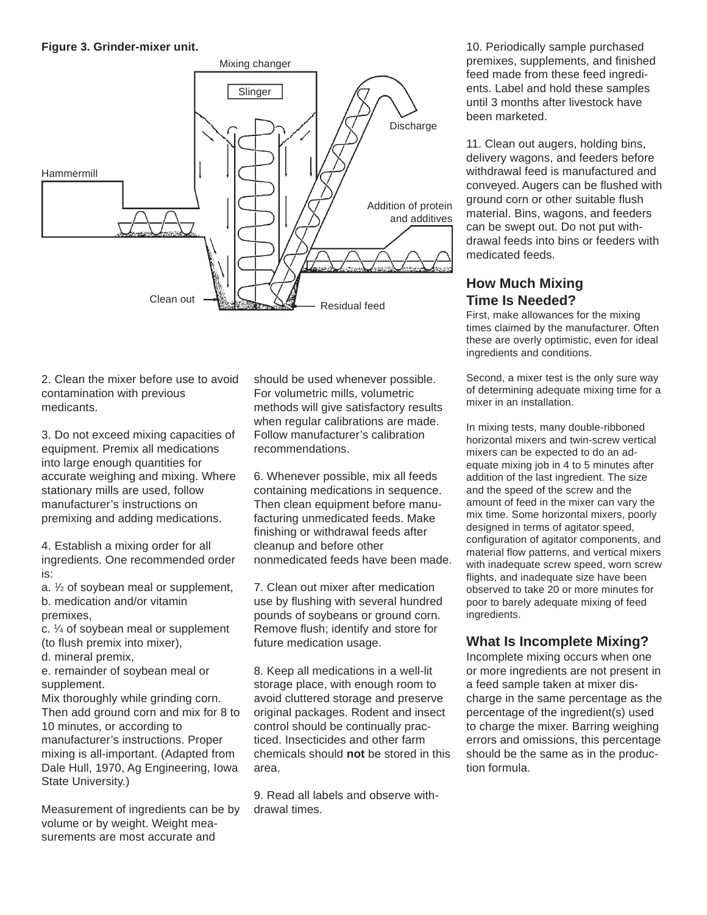**Figure 3. Grinder-mixer unit.** 



2. Clean the mixer before use to avoid contamination with previous medicants.

3. Do not exceed mixing capacities of equipment. Premix all medications into large enough quantities for accurate weighing and mixing. Where stationary mills are used, follow manufacturer's instructions on premixing and adding medications.

4. Establish a mixing order for all ingredients. One recommended order is:

a. 1 ⁄2 of soybean meal or supplement, b. medication and/or vitamin premixes,

c. 1 ⁄4 of soybean meal or supplement (to flush premix into mixer),

d. mineral premix,

e. remainder of soybean meal or supplement.

Mix thoroughly while grinding corn. Then add ground corn and mix for 8 to 10 minutes, or according to manufacturer's instructions. Proper mixing is all-important. (Adapted from Dale Hull, 1970, Ag Engineering, Iowa State University.)

Measurement of ingredients can be by volume or by weight. Weight measurements are most accurate and

should be used whenever possible. For volumetric mills, volumetric methods will give satisfactory results when regular calibrations are made. Follow manufacturer's calibration recommendations.

6. Whenever possible, mix all feeds containing medications in sequence. Then clean equipment before manufacturing unmedicated feeds. Make finishing or withdrawal feeds after cleanup and before other nonmedicated feeds have been made.

7. Clean out mixer after medication use by flushing with several hundred pounds of soybeans or ground corn. Remove flush; identify and store for future medication usage.

8. Keep all medications in a well-lit storage place, with enough room to avoid cluttered storage and preserve original packages. Rodent and insect control should be continually practiced. Insecticides and other farm chemicals should **not** be stored in this area.

9. Read all labels and observe withdrawal times.

10. Periodically sample purchased premixes, supplements, and finished feed made from these feed ingredients. Label and hold these samples until 3 months after livestock have been marketed.

11. Clean out augers, holding bins, delivery wagons, and feeders before withdrawal feed is manufactured and conveyed. Augers can be flushed with ground corn or other suitable flush material. Bins, wagons, and feeders can be swept out. Do not put withdrawal feeds into bins or feeders with medicated feeds.

# **How Much Mixing Time Is Needed?**

First, make allowances for the mixing times claimed by the manufacturer. Often these are overly optimistic, even for ideal ingredients and conditions.

Second, a mixer test is the only sure way of determining adequate mixing time for a mixer in an installation.

In mixing tests, many double-ribboned horizontal mixers and twin-screw vertical mixers can be expected to do an adequate mixing job in 4 to 5 minutes after addition of the last ingredient. The size and the speed of the screw and the amount of feed in the mixer can vary the mix time. Some horizontal mixers, poorly designed in terms of agitator speed, configuration of agitator components, and material flow patterns, and vertical mixers with inadequate screw speed, worn screw flights, and inadequate size have been observed to take 20 or more minutes for poor to barely adequate mixing of feed ingredients.

# **What Is Incomplete Mixing?**

Incomplete mixing occurs when one or more ingredients are not present in a feed sample taken at mixer discharge in the same percentage as the percentage of the ingredient(s) used to charge the mixer. Barring weighing errors and omissions, this percentage should be the same as in the production formula.